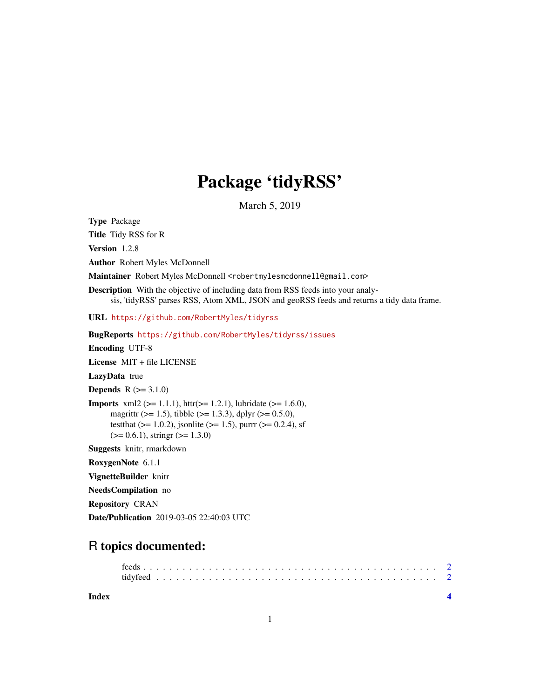## Package 'tidyRSS'

March 5, 2019

<span id="page-0-0"></span>Type Package

Title Tidy RSS for R

Version 1.2.8

Author Robert Myles McDonnell

Maintainer Robert Myles McDonnell <robertmylesmcdonnell@gmail.com>

Description With the objective of including data from RSS feeds into your analysis, 'tidyRSS' parses RSS, Atom XML, JSON and geoRSS feeds and returns a tidy data frame.

URL <https://github.com/RobertMyles/tidyrss>

BugReports <https://github.com/RobertMyles/tidyrss/issues>

Encoding UTF-8

License MIT + file LICENSE

LazyData true

**Depends**  $R (= 3.1.0)$ 

**Imports** xml2 ( $>= 1.1.1$ ), httr( $>= 1.2.1$ ), lubridate ( $>= 1.6.0$ ), magrittr ( $>= 1.5$ ), tibble ( $>= 1.3.3$ ), dplyr ( $>= 0.5.0$ ), testthat ( $> = 1.0.2$ ), jsonlite ( $> = 1.5$ ), purrr ( $> = 0.2.4$ ), sf  $(>= 0.6.1)$ , stringr  $(>= 1.3.0)$ 

Suggests knitr, rmarkdown

RoxygenNote 6.1.1

VignetteBuilder knitr

NeedsCompilation no

Repository CRAN

Date/Publication 2019-03-05 22:40:03 UTC

### R topics documented:

**Index** [4](#page-3-0)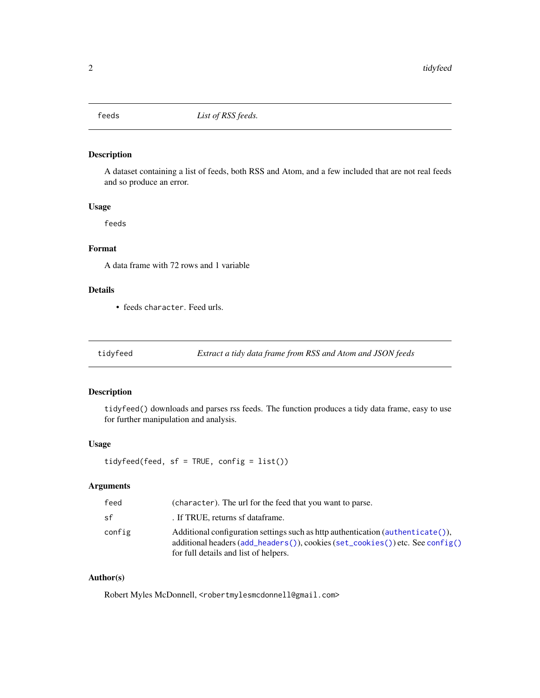<span id="page-1-0"></span>

#### Description

A dataset containing a list of feeds, both RSS and Atom, and a few included that are not real feeds and so produce an error.

#### Usage

feeds

#### Format

A data frame with 72 rows and 1 variable

#### Details

• feeds character. Feed urls.

tidyfeed *Extract a tidy data frame from RSS and Atom and JSON feeds*

#### Description

tidyfeed() downloads and parses rss feeds. The function produces a tidy data frame, easy to use for further manipulation and analysis.

#### Usage

tidyfeed(feed, sf = TRUE, config = list())

#### Arguments

| feed   | (character). The url for the feed that you want to parse.                                                                                                                                                                                            |
|--------|------------------------------------------------------------------------------------------------------------------------------------------------------------------------------------------------------------------------------------------------------|
| sf     | . If TRUE, returns of dataframe.                                                                                                                                                                                                                     |
| config | Additional configuration settings such as http authentication ( $\alpha$ uthenticate()),<br>additional headers $(\text{add}_{\text{heads}}()$ , cookies $(\text{set}_{\text{coolies}}())$ etc. See config()<br>for full details and list of helpers. |

#### Author(s)

Robert Myles McDonnell, <robertmylesmcdonnell@gmail.com>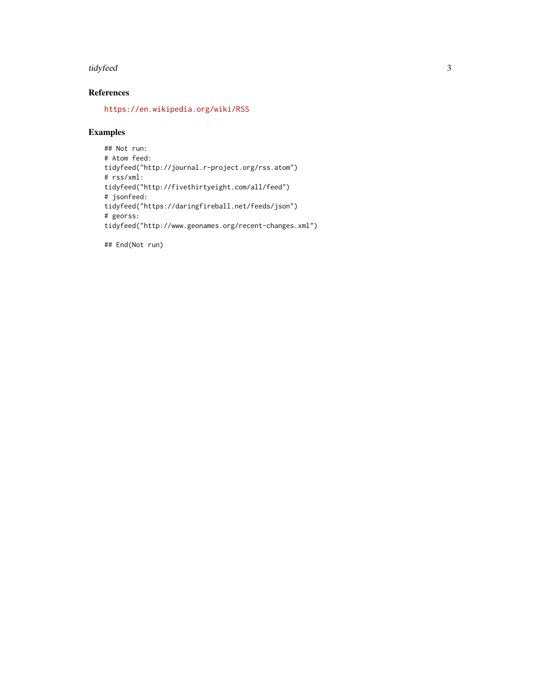#### tidyfeed 3

#### References

<https://en.wikipedia.org/wiki/RSS>

#### Examples

```
## Not run:
# Atom feed:
tidyfeed("http://journal.r-project.org/rss.atom")
# rss/xml:
tidyfeed("http://fivethirtyeight.com/all/feed")
# jsonfeed:
tidyfeed("https://daringfireball.net/feeds/json")
# georss:
tidyfeed("http://www.geonames.org/recent-changes.xml")
```
## End(Not run)